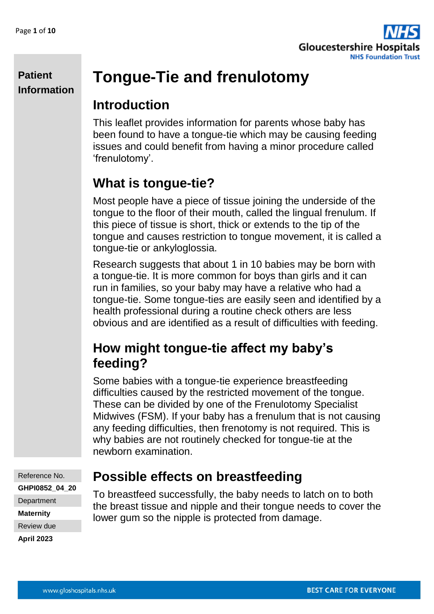

# **Tongue-Tie and frenulotomy**

### **Introduction**

This leaflet provides information for parents whose baby has been found to have a tongue-tie which may be causing feeding issues and could benefit from having a minor procedure called 'frenulotomy'.

# **What is tongue-tie?**

Most people have a piece of tissue joining the underside of the tongue to the floor of their mouth, called the lingual frenulum. If this piece of tissue is short, thick or extends to the tip of the tongue and causes restriction to tongue movement, it is called a tongue-tie or ankyloglossia.

Research suggests that about 1 in 10 babies may be born with a tongue-tie. It is more common for boys than girls and it can run in families, so your baby may have a relative who had a tongue-tie. Some tongue-ties are easily seen and identified by a health professional during a routine check others are less obvious and are identified as a result of difficulties with feeding.

# **How might tongue-tie affect my baby's feeding?**

Some babies with a tongue-tie experience breastfeeding difficulties caused by the restricted movement of the tongue. These can be divided by one of the Frenulotomy Specialist Midwives (FSM). If your baby has a frenulum that is not causing any feeding difficulties, then frenotomy is not required. This is why babies are not routinely checked for tongue-tie at the newborn examination.

Reference No. **GHPI0852\_04\_20 Department Maternity**

Review due **April 2023**

# **Possible effects on breastfeeding**

To breastfeed successfully, the baby needs to latch on to both the breast tissue and nipple and their tongue needs to cover the lower gum so the nipple is protected from damage.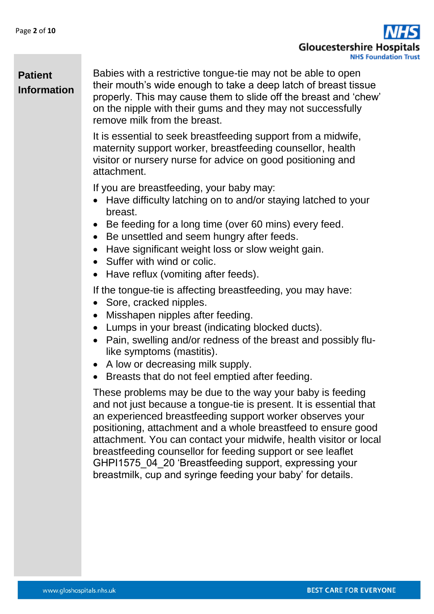Gloucestershire Hospi **NHS Foundation Trust** 

### **Patient Information**

Babies with a restrictive tongue-tie may not be able to open their mouth's wide enough to take a deep latch of breast tissue properly. This may cause them to slide off the breast and 'chew' on the nipple with their gums and they may not successfully remove milk from the breast.

It is essential to seek breastfeeding support from a midwife, maternity support worker, breastfeeding counsellor, health visitor or nursery nurse for advice on good positioning and attachment.

If you are breastfeeding, your baby may:

- Have difficulty latching on to and/or staying latched to your breast.
- Be feeding for a long time (over 60 mins) every feed.
- Be unsettled and seem hungry after feeds.
- Have significant weight loss or slow weight gain.
- Suffer with wind or colic.
- Have reflux (vomiting after feeds).

If the tongue-tie is affecting breastfeeding, you may have:

- Sore, cracked nipples.
- Misshapen nipples after feeding.
- Lumps in your breast (indicating blocked ducts).
- Pain, swelling and/or redness of the breast and possibly flulike symptoms (mastitis).
- A low or decreasing milk supply.
- Breasts that do not feel emptied after feeding.

These problems may be due to the way your baby is feeding and not just because a tongue-tie is present. It is essential that an experienced breastfeeding support worker observes your positioning, attachment and a whole breastfeed to ensure good attachment. You can contact your midwife, health visitor or local breastfeeding counsellor for feeding support or see leaflet GHPI1575\_04\_20 'Breastfeeding support, expressing your breastmilk, cup and syringe feeding your baby' for details.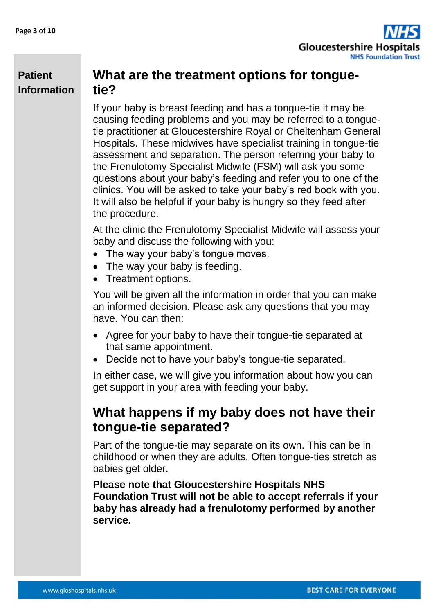

### **What are the treatment options for tonguetie?**

If your baby is breast feeding and has a tongue-tie it may be causing feeding problems and you may be referred to a tonguetie practitioner at Gloucestershire Royal or Cheltenham General Hospitals. These midwives have specialist training in tongue-tie assessment and separation. The person referring your baby to the Frenulotomy Specialist Midwife (FSM) will ask you some questions about your baby's feeding and refer you to one of the clinics. You will be asked to take your baby's red book with you. It will also be helpful if your baby is hungry so they feed after the procedure.

At the clinic the Frenulotomy Specialist Midwife will assess your baby and discuss the following with you:

- The way your baby's tongue moves.
- The way your baby is feeding.
- Treatment options.

You will be given all the information in order that you can make an informed decision. Please ask any questions that you may have. You can then:

- Agree for your baby to have their tongue-tie separated at that same appointment.
- Decide not to have your baby's tongue-tie separated.

In either case, we will give you information about how you can get support in your area with feeding your baby.

### **What happens if my baby does not have their tongue-tie separated?**

Part of the tongue-tie may separate on its own. This can be in childhood or when they are adults. Often tongue-ties stretch as babies get older.

**Please note that Gloucestershire Hospitals NHS Foundation Trust will not be able to accept referrals if your baby has already had a frenulotomy performed by another service.**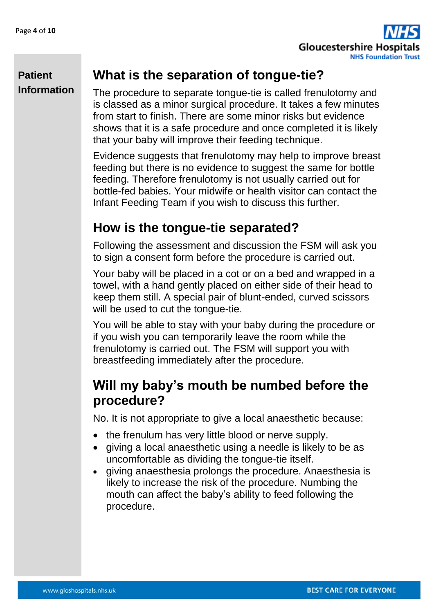

# **What is the separation of tongue-tie?**

The procedure to separate tongue-tie is called frenulotomy and is classed as a minor surgical procedure. It takes a few minutes from start to finish. There are some minor risks but evidence shows that it is a safe procedure and once completed it is likely that your baby will improve their feeding technique.

Evidence suggests that frenulotomy may help to improve breast feeding but there is no evidence to suggest the same for bottle feeding. Therefore frenulotomy is not usually carried out for bottle-fed babies. Your midwife or health visitor can contact the Infant Feeding Team if you wish to discuss this further.

# **How is the tongue-tie separated?**

Following the assessment and discussion the FSM will ask you to sign a consent form before the procedure is carried out.

Your baby will be placed in a cot or on a bed and wrapped in a towel, with a hand gently placed on either side of their head to keep them still. A special pair of blunt-ended, curved scissors will be used to cut the tonque-tie.

You will be able to stay with your baby during the procedure or if you wish you can temporarily leave the room while the frenulotomy is carried out. The FSM will support you with breastfeeding immediately after the procedure.

# **Will my baby's mouth be numbed before the procedure?**

No. It is not appropriate to give a local anaesthetic because:

- the frenulum has very little blood or nerve supply.
- giving a local anaesthetic using a needle is likely to be as uncomfortable as dividing the tongue-tie itself.
- giving anaesthesia prolongs the procedure. Anaesthesia is likely to increase the risk of the procedure. Numbing the mouth can affect the baby's ability to feed following the procedure.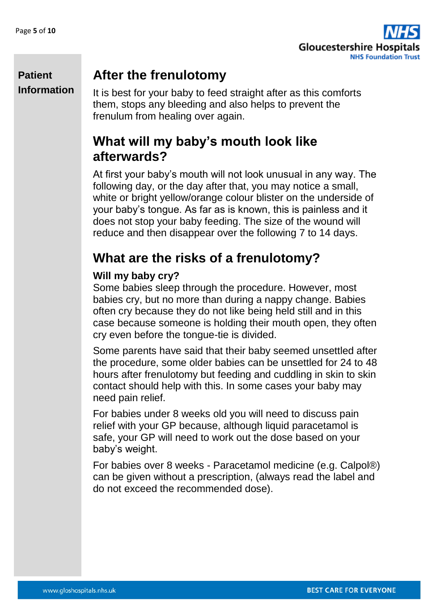

## **After the frenulotomy**

It is best for your baby to feed straight after as this comforts them, stops any bleeding and also helps to prevent the frenulum from healing over again.

# **What will my baby's mouth look like afterwards?**

At first your baby's mouth will not look unusual in any way. The following day, or the day after that, you may notice a small, white or bright yellow/orange colour blister on the underside of your baby's tongue. As far as is known, this is painless and it does not stop your baby feeding. The size of the wound will reduce and then disappear over the following 7 to 14 days.

# **What are the risks of a frenulotomy?**

#### **Will my baby cry?**

Some babies sleep through the procedure. However, most babies cry, but no more than during a nappy change. Babies often cry because they do not like being held still and in this case because someone is holding their mouth open, they often cry even before the tongue-tie is divided.

Some parents have said that their baby seemed unsettled after the procedure, some older babies can be unsettled for 24 to 48 hours after frenulotomy but feeding and cuddling in skin to skin contact should help with this. In some cases your baby may need pain relief.

For babies under 8 weeks old you will need to discuss pain relief with your GP because, although liquid paracetamol is safe, your GP will need to work out the dose based on your baby's weight.

For babies over 8 weeks - Paracetamol medicine (e.g. Calpol®) can be given without a prescription, (always read the label and do not exceed the recommended dose).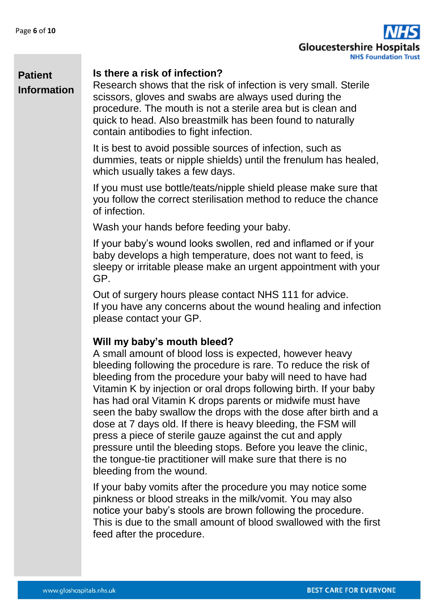

#### **Is there a risk of infection?**

Research shows that the risk of infection is very small. Sterile scissors, gloves and swabs are always used during the procedure. The mouth is not a sterile area but is clean and quick to head. Also breastmilk has been found to naturally contain antibodies to fight infection.

It is best to avoid possible sources of infection, such as dummies, teats or nipple shields) until the frenulum has healed, which usually takes a few days.

If you must use bottle/teats/nipple shield please make sure that you follow the correct sterilisation method to reduce the chance of infection.

Wash your hands before feeding your baby.

If your baby's wound looks swollen, red and inflamed or if your baby develops a high temperature, does not want to feed, is sleepy or irritable please make an urgent appointment with your GP.

Out of surgery hours please contact NHS 111 for advice. If you have any concerns about the wound healing and infection please contact your GP.

#### **Will my baby's mouth bleed?**

A small amount of blood loss is expected, however heavy bleeding following the procedure is rare. To reduce the risk of bleeding from the procedure your baby will need to have had Vitamin K by injection or oral drops following birth. If your baby has had oral Vitamin K drops parents or midwife must have seen the baby swallow the drops with the dose after birth and a dose at 7 days old. If there is heavy bleeding, the FSM will press a piece of sterile gauze against the cut and apply pressure until the bleeding stops. Before you leave the clinic, the tongue-tie practitioner will make sure that there is no bleeding from the wound.

If your baby vomits after the procedure you may notice some pinkness or blood streaks in the milk/vomit. You may also notice your baby's stools are brown following the procedure. This is due to the small amount of blood swallowed with the first feed after the procedure.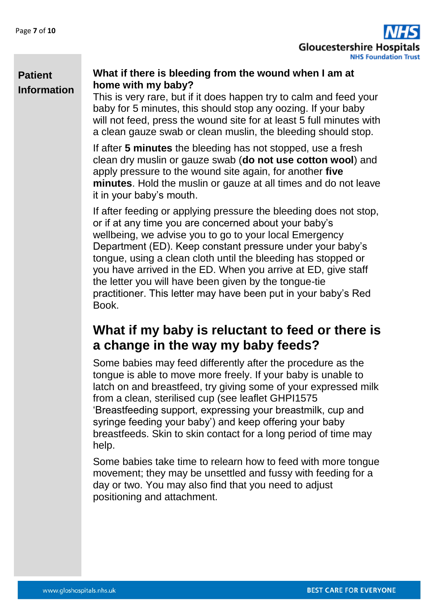**Patient** 

**Information**



#### **What if there is bleeding from the wound when I am at home with my baby?**

This is very rare, but if it does happen try to calm and feed your baby for 5 minutes, this should stop any oozing. If your baby will not feed, press the wound site for at least 5 full minutes with a clean gauze swab or clean muslin, the bleeding should stop.

If after **5 minutes** the bleeding has not stopped, use a fresh clean dry muslin or gauze swab (**do not use cotton wool**) and apply pressure to the wound site again, for another **five minutes**. Hold the muslin or gauze at all times and do not leave it in your baby's mouth.

If after feeding or applying pressure the bleeding does not stop, or if at any time you are concerned about your baby's wellbeing, we advise you to go to your local Emergency Department (ED). Keep constant pressure under your baby's tongue, using a clean cloth until the bleeding has stopped or you have arrived in the ED. When you arrive at ED, give staff the letter you will have been given by the tongue-tie practitioner. This letter may have been put in your baby's Red Book.

## **What if my baby is reluctant to feed or there is a change in the way my baby feeds?**

Some babies may feed differently after the procedure as the tongue is able to move more freely. If your baby is unable to latch on and breastfeed, try giving some of your expressed milk from a clean, sterilised cup (see leaflet GHPI1575 'Breastfeeding support, expressing your breastmilk, cup and syringe feeding your baby') and keep offering your baby breastfeeds. Skin to skin contact for a long period of time may help.

Some babies take time to relearn how to feed with more tongue movement; they may be unsettled and fussy with feeding for a day or two. You may also find that you need to adjust positioning and attachment.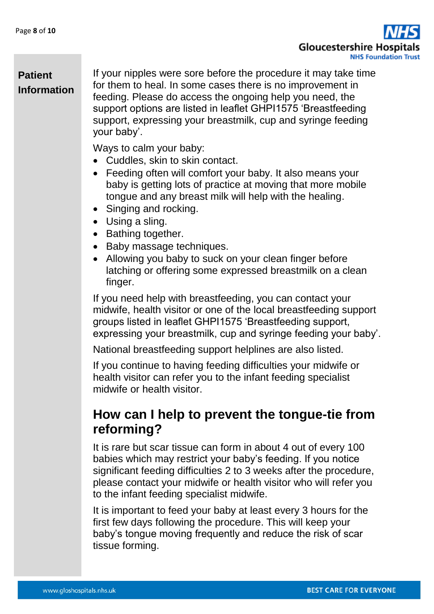**Gloucestershire Hospi NHS Foundation Trust** 

### **Patient Information**

If your nipples were sore before the procedure it may take time for them to heal. In some cases there is no improvement in feeding. Please do access the ongoing help you need, the support options are listed in leaflet GHPI1575 'Breastfeeding support, expressing your breastmilk, cup and syringe feeding your baby'.

Ways to calm your baby:

- Cuddles, skin to skin contact.
- Feeding often will comfort your baby. It also means your baby is getting lots of practice at moving that more mobile tongue and any breast milk will help with the healing.
- Singing and rocking.
- Using a sling.
- Bathing together.
- Baby massage techniques.
- Allowing you baby to suck on your clean finger before latching or offering some expressed breastmilk on a clean finger.

If you need help with breastfeeding, you can contact your midwife, health visitor or one of the local breastfeeding support groups listed in leaflet GHPI1575 'Breastfeeding support, expressing your breastmilk, cup and syringe feeding your baby'.

National breastfeeding support helplines are also listed.

If you continue to having feeding difficulties your midwife or health visitor can refer you to the infant feeding specialist midwife or health visitor.

### **How can I help to prevent the tongue-tie from reforming?**

It is rare but scar tissue can form in about 4 out of every 100 babies which may restrict your baby's feeding. If you notice significant feeding difficulties 2 to 3 weeks after the procedure, please contact your midwife or health visitor who will refer you to the infant feeding specialist midwife.

It is important to feed your baby at least every 3 hours for the first few days following the procedure. This will keep your baby's tongue moving frequently and reduce the risk of scar tissue forming.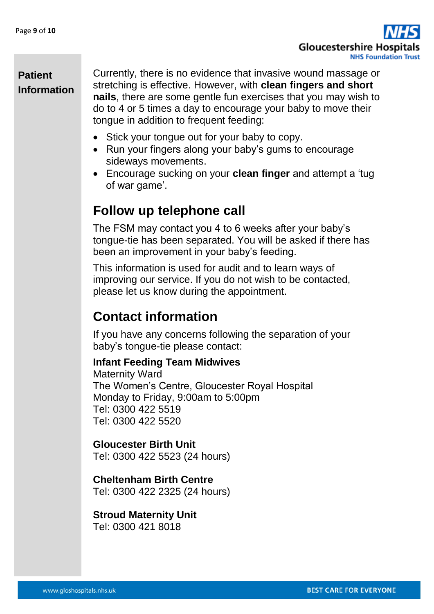

Currently, there is no evidence that invasive wound massage or stretching is effective. However, with **clean fingers and short nails**, there are some gentle fun exercises that you may wish to do to 4 or 5 times a day to encourage your baby to move their tongue in addition to frequent feeding:

- Stick your tongue out for your baby to copy.
- Run your fingers along your baby's gums to encourage sideways movements.
- Encourage sucking on your **clean finger** and attempt a 'tug of war game'.

### **Follow up telephone call**

The FSM may contact you 4 to 6 weeks after your baby's tongue-tie has been separated. You will be asked if there has been an improvement in your baby's feeding.

This information is used for audit and to learn ways of improving our service. If you do not wish to be contacted, please let us know during the appointment.

# **Contact information**

If you have any concerns following the separation of your baby's tongue-tie please contact:

#### **Infant Feeding Team Midwives**

Maternity Ward The Women's Centre, Gloucester Royal Hospital Monday to Friday, 9:00am to 5:00pm Tel: 0300 422 5519 Tel: 0300 422 5520

#### **Gloucester Birth Unit**  Tel: 0300 422 5523 (24 hours)

**Cheltenham Birth Centre** 

Tel: 0300 422 2325 (24 hours)

# **Stroud Maternity Unit**

Tel: 0300 421 8018